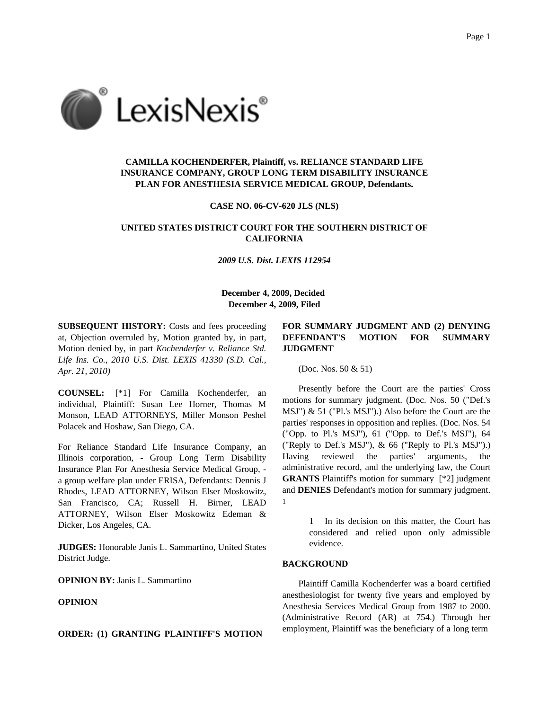

# **CAMILLA KOCHENDERFER, Plaintiff, vs. RELIANCE STANDARD LIFE INSURANCE COMPANY, GROUP LONG TERM DISABILITY INSURANCE PLAN FOR ANESTHESIA SERVICE MEDICAL GROUP, Defendants.**

#### **CASE NO. 06-CV-620 JLS (NLS)**

## **UNITED STATES DISTRICT COURT FOR THE SOUTHERN DISTRICT OF CALIFORNIA**

*2009 U.S. Dist. LEXIS 112954*

### **December 4, 2009, Decided December 4, 2009, Filed**

**SUBSEQUENT HISTORY:** Costs and fees proceeding at, Objection overruled by, Motion granted by, in part, Motion denied by, in part *Kochenderfer v. Reliance Std. Life Ins. Co., 2010 U.S. Dist. LEXIS 41330 (S.D. Cal., Apr. 21, 2010)*

**COUNSEL:** [\*1] For Camilla Kochenderfer, an individual, Plaintiff: Susan Lee Horner, Thomas M Monson, LEAD ATTORNEYS, Miller Monson Peshel Polacek and Hoshaw, San Diego, CA.

For Reliance Standard Life Insurance Company, an Illinois corporation, - Group Long Term Disability Insurance Plan For Anesthesia Service Medical Group, a group welfare plan under ERISA, Defendants: Dennis J Rhodes, LEAD ATTORNEY, Wilson Elser Moskowitz, San Francisco, CA; Russell H. Birner, LEAD ATTORNEY, Wilson Elser Moskowitz Edeman & Dicker, Los Angeles, CA.

**JUDGES:** Honorable Janis L. Sammartino, United States District Judge.

**OPINION BY:** Janis L. Sammartino

## **OPINION**

### **ORDER: (1) GRANTING PLAINTIFF'S MOTION**

# **FOR SUMMARY JUDGMENT AND (2) DENYING DEFENDANT'S MOTION FOR SUMMARY JUDGMENT**

(Doc. Nos. 50 & 51)

Presently before the Court are the parties' Cross motions for summary judgment. (Doc. Nos. 50 ("Def.'s MSJ") & 51 ("Pl.'s MSJ").) Also before the Court are the parties' responses in opposition and replies. (Doc. Nos. 54 ("Opp. to Pl.'s MSJ"), 61 ("Opp. to Def.'s MSJ"), 64 ("Reply to Def.'s MSJ"), & 66 ("Reply to Pl.'s MSJ").) Having reviewed the parties' arguments, the administrative record, and the underlying law, the Court **GRANTS** Plaintiff's motion for summary [\*2] judgment and **DENIES** Defendant's motion for summary judgment. 1

> 1 In its decision on this matter, the Court has considered and relied upon only admissible evidence.

## **BACKGROUND**

Plaintiff Camilla Kochenderfer was a board certified anesthesiologist for twenty five years and employed by Anesthesia Services Medical Group from 1987 to 2000. (Administrative Record (AR) at 754.) Through her employment, Plaintiff was the beneficiary of a long term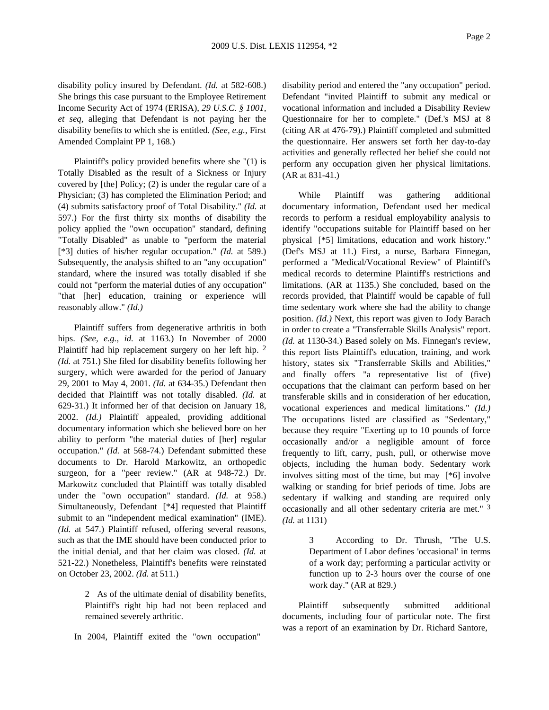disability policy insured by Defendant. *(Id.* at 582-608.) She brings this case pursuant to the Employee Retirement Income Security Act of 1974 (ERISA), *29 U.S.C. § 1001, et seq,* alleging that Defendant is not paying her the disability benefits to which she is entitled. *(See, e.g.,* First Amended Complaint PP 1, 168.)

Plaintiff's policy provided benefits where she "(1) is Totally Disabled as the result of a Sickness or Injury covered by [the] Policy; (2) is under the regular care of a Physician; (3) has completed the Elimination Period; and (4) submits satisfactory proof of Total Disability." *(Id.* at 597.) For the first thirty six months of disability the policy applied the "own occupation" standard, defining "Totally Disabled" as unable to "perform the material [\*3] duties of his/her regular occupation." *(Id.* at 589.) Subsequently, the analysis shifted to an "any occupation" standard, where the insured was totally disabled if she could not "perform the material duties of any occupation" "that [her] education, training or experience will reasonably allow." *(Id.)*

Plaintiff suffers from degenerative arthritis in both hips. *(See, e.g., id.* at 1163.) In November of 2000 Plaintiff had hip replacement surgery on her left hip. 2 *(Id.* at 751.) She filed for disability benefits following her surgery, which were awarded for the period of January 29, 2001 to May 4, 2001. *(Id.* at 634-35.) Defendant then decided that Plaintiff was not totally disabled. *(Id.* at 629-31.) It informed her of that decision on January 18, 2002. *(Id.)* Plaintiff appealed, providing additional documentary information which she believed bore on her ability to perform "the material duties of [her] regular occupation." *(Id.* at 568-74.) Defendant submitted these documents to Dr. Harold Markowitz, an orthopedic surgeon, for a "peer review." (AR at 948-72.) Dr. Markowitz concluded that Plaintiff was totally disabled under the "own occupation" standard. *(Id.* at 958.) Simultaneously, Defendant [\*4] requested that Plaintiff submit to an "independent medical examination" (IME). *(Id.* at 547.) Plaintiff refused, offering several reasons, such as that the IME should have been conducted prior to the initial denial, and that her claim was closed. *(Id.* at 521-22.) Nonetheless, Plaintiff's benefits were reinstated on October 23, 2002. *(Id.* at 511.)

> 2 As of the ultimate denial of disability benefits, Plaintiff's right hip had not been replaced and remained severely arthritic.

In 2004, Plaintiff exited the "own occupation"

disability period and entered the "any occupation" period. Defendant "invited Plaintiff to submit any medical or vocational information and included a Disability Review Questionnaire for her to complete." (Def.'s MSJ at 8 (citing AR at 476-79).) Plaintiff completed and submitted the questionnaire. Her answers set forth her day-to-day activities and generally reflected her belief she could not perform any occupation given her physical limitations. (AR at 831-41.)

While Plaintiff was gathering additional documentary information, Defendant used her medical records to perform a residual employability analysis to identify "occupations suitable for Plaintiff based on her physical [\*5] limitations, education and work history." (Def's MSJ at 11.) First, a nurse, Barbara Finnegan, performed a "Medical/Vocational Review" of Plaintiff's medical records to determine Plaintiff's restrictions and limitations. (AR at 1135.) She concluded, based on the records provided, that Plaintiff would be capable of full time sedentary work where she had the ability to change position. *(Id.)* Next, this report was given to Jody Barach in order to create a "Transferrable Skills Analysis" report. *(Id.* at 1130-34.) Based solely on Ms. Finnegan's review, this report lists Plaintiff's education, training, and work history, states six "Transferrable Skills and Abilities," and finally offers "a representative list of (five) occupations that the claimant can perform based on her transferable skills and in consideration of her education, vocational experiences and medical limitations." *(Id.)* The occupations listed are classified as "Sedentary," because they require "Exerting up to 10 pounds of force occasionally and/or a negligible amount of force frequently to lift, carry, push, pull, or otherwise move objects, including the human body. Sedentary work involves sitting most of the time, but may [\*6] involve walking or standing for brief periods of time. Jobs are sedentary if walking and standing are required only occasionally and all other sedentary criteria are met." 3 *(Id.* at 1131)

> 3 According to Dr. Thrush, "The U.S. Department of Labor defines 'occasional' in terms of a work day; performing a particular activity or function up to 2-3 hours over the course of one work day." (AR at 829.)

Plaintiff subsequently submitted additional documents, including four of particular note. The first was a report of an examination by Dr. Richard Santore,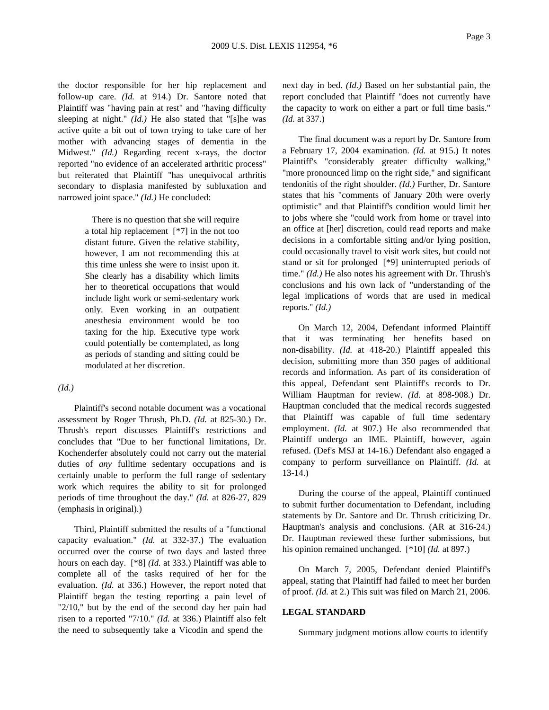the doctor responsible for her hip replacement and follow-up care. *(Id.* at 914.) Dr. Santore noted that Plaintiff was "having pain at rest" and "having difficulty sleeping at night." *(Id.)* He also stated that "[s]he was active quite a bit out of town trying to take care of her mother with advancing stages of dementia in the Midwest." *(Id.)* Regarding recent x-rays, the doctor reported "no evidence of an accelerated arthritic process" but reiterated that Plaintiff "has unequivocal arthritis secondary to displasia manifested by subluxation and narrowed joint space." *(Id.)* He concluded:

> There is no question that she will require a total hip replacement [\*7] in the not too distant future. Given the relative stability, however, I am not recommending this at this time unless she were to insist upon it. She clearly has a disability which limits her to theoretical occupations that would include light work or semi-sedentary work only. Even working in an outpatient anesthesia environment would be too taxing for the hip. Executive type work could potentially be contemplated, as long as periods of standing and sitting could be modulated at her discretion.

### *(Id.)*

Plaintiff's second notable document was a vocational assessment by Roger Thrush, Ph.D. *(Id.* at 825-30.) Dr. Thrush's report discusses Plaintiff's restrictions and concludes that "Due to her functional limitations, Dr. Kochenderfer absolutely could not carry out the material duties of *any* fulltime sedentary occupations and is certainly unable to perform the full range of sedentary work which requires the ability to sit for prolonged periods of time throughout the day." *(Id.* at 826-27, 829 (emphasis in original).)

Third, Plaintiff submitted the results of a "functional capacity evaluation." *(Id.* at 332-37.) The evaluation occurred over the course of two days and lasted three hours on each day. [\*8] *(Id.* at 333.) Plaintiff was able to complete all of the tasks required of her for the evaluation. *(Id.* at 336.) However, the report noted that Plaintiff began the testing reporting a pain level of "2/10," but by the end of the second day her pain had risen to a reported "7/10." *(Id.* at 336.) Plaintiff also felt the need to subsequently take a Vicodin and spend the

next day in bed. *(Id.)* Based on her substantial pain, the report concluded that Plaintiff "does not currently have the capacity to work on either a part or full time basis." *(Id.* at 337.)

The final document was a report by Dr. Santore from a February 17, 2004 examination. *(Id.* at 915.) It notes Plaintiff's "considerably greater difficulty walking," "more pronounced limp on the right side," and significant tendonitis of the right shoulder. *(Id.)* Further, Dr. Santore states that his "comments of January 20th were overly optimistic" and that Plaintiff's condition would limit her to jobs where she "could work from home or travel into an office at [her] discretion, could read reports and make decisions in a comfortable sitting and/or lying position, could occasionally travel to visit work sites, but could not stand or sit for prolonged [\*9] uninterrupted periods of time." *(Id.)* He also notes his agreement with Dr. Thrush's conclusions and his own lack of "understanding of the legal implications of words that are used in medical reports." *(Id.)*

On March 12, 2004, Defendant informed Plaintiff that it was terminating her benefits based on non-disability. *(Id.* at 418-20.) Plaintiff appealed this decision, submitting more than 350 pages of additional records and information. As part of its consideration of this appeal, Defendant sent Plaintiff's records to Dr. William Hauptman for review. *(Id.* at 898-908.) Dr. Hauptman concluded that the medical records suggested that Plaintiff was capable of full time sedentary employment. *(Id.* at 907.) He also recommended that Plaintiff undergo an IME. Plaintiff, however, again refused. (Def's MSJ at 14-16.) Defendant also engaged a company to perform surveillance on Plaintiff. *(Id.* at 13-14.)

During the course of the appeal, Plaintiff continued to submit further documentation to Defendant, including statements by Dr. Santore and Dr. Thrush criticizing Dr. Hauptman's analysis and conclusions. (AR at 316-24.) Dr. Hauptman reviewed these further submissions, but his opinion remained unchanged. [\*10] *(Id.* at 897.)

On March 7, 2005, Defendant denied Plaintiff's appeal, stating that Plaintiff had failed to meet her burden of proof. *(Id.* at 2.) This suit was filed on March 21, 2006.

### **LEGAL STANDARD**

Summary judgment motions allow courts to identify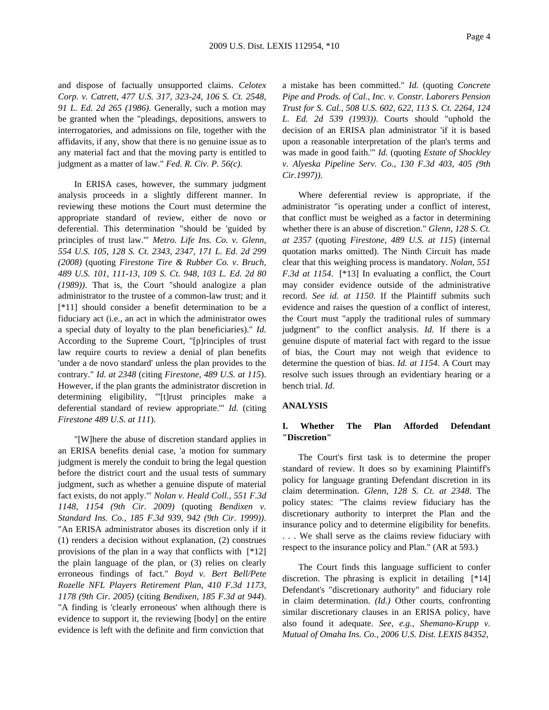and dispose of factually unsupported claims. *Celotex Corp. v. Catrett, 477 U.S. 317, 323-24, 106 S. Ct. 2548, 91 L. Ed. 2d 265 (1986)*. Generally, such a motion may be granted when the "pleadings, depositions, answers to interrogatories, and admissions on file, together with the affidavits, if any, show that there is no genuine issue as to any material fact and that the moving party is entitled to judgment as a matter of law." *Fed. R. Civ. P. 56(c)*.

In ERISA cases, however, the summary judgment analysis proceeds in a slightly different manner. In reviewing these motions the Court must determine the appropriate standard of review, either de novo or deferential. This determination "should be 'guided by principles of trust law.'" *Metro. Life Ins. Co. v. Glenn, 554 U.S. 105, 128 S. Ct. 2343, 2347, 171 L. Ed. 2d 299 (2008)* (quoting *Firestone Tire & Rubber Co. v. Bruch, 489 U.S. 101, 111-13, 109 S. Ct. 948, 103 L. Ed. 2d 80 (1989))*. That is, the Court "should analogize a plan administrator to the trustee of a common-law trust; and it [\*11] should consider a benefit determination to be a fiduciary act (i.e., an act in which the administrator owes a special duty of loyalty to the plan beneficiaries)." *Id.* According to the Supreme Court, "[p]rinciples of trust law require courts to review a denial of plan benefits 'under a de novo standard' unless the plan provides to the contrary." *Id. at 2348* (citing *Firestone, 489 U.S. at 115*). However, if the plan grants the administrator discretion in determining eligibility, "'[t]rust principles make a deferential standard of review appropriate.'" *Id.* (citing *Firestone 489 U.S. at 111*).

"[W]here the abuse of discretion standard applies in an ERISA benefits denial case, 'a motion for summary judgment is merely the conduit to bring the legal question before the district court and the usual tests of summary judgment, such as whether a genuine dispute of material fact exists, do not apply.'" *Nolan v. Heald Coll., 551 F.3d 1148, 1154 (9th Cir. 2009)* (quoting *Bendixen v. Standard Ins. Co., 185 F.3d 939, 942 (9th Cir. 1999))*. "An ERISA administrator abuses its discretion only if it (1) renders a decision without explanation, (2) construes provisions of the plan in a way that conflicts with [\*12] the plain language of the plan, or (3) relies on clearly erroneous findings of fact." *Boyd v. Bert Bell/Pete Rozelle NFL Players Retirement Plan, 410 F.3d 1173, 1178 (9th Cir. 2005)* (citing *Bendixen, 185 F.3d at 944*). "A finding is 'clearly erroneous' when although there is evidence to support it, the reviewing [body] on the entire evidence is left with the definite and firm conviction that

a mistake has been committed." *Id.* (quoting *Concrete Pipe and Prods. of Cal., Inc. v. Constr. Laborers Pension Trust for S. Cal., 508 U.S. 602, 622, 113 S. Ct. 2264, 124 L. Ed. 2d 539 (1993))*. Courts should "uphold the decision of an ERISA plan administrator 'if it is based upon a reasonable interpretation of the plan's terms and was made in good faith.'" *Id.* (quoting *Estate of Shockley v. Alyeska Pipeline Serv. Co., 130 F.3d 403, 405 (9th Cir.1997))*.

Where deferential review is appropriate, if the administrator "is operating under a conflict of interest, that conflict must be weighed as a factor in determining whether there is an abuse of discretion." *Glenn, 128 S. Ct. at 2357* (quoting *Firestone, 489 U.S. at 115*) (internal quotation marks omitted). The Ninth Circuit has made clear that this weighing process is mandatory. *Nolan, 551 F.3d at 1154*. [\*13] In evaluating a conflict, the Court may consider evidence outside of the administrative record. *See id. at 1150*. If the Plaintiff submits such evidence and raises the question of a conflict of interest, the Court must "apply the traditional rules of summary judgment" to the conflict analysis. *Id.* If there is a genuine dispute of material fact with regard to the issue of bias, the Court may not weigh that evidence to determine the question of bias. *Id. at 1154*. A Court may resolve such issues through an evidentiary hearing or a bench trial. *Id.*

### **ANALYSIS**

## **I. Whether The Plan Afforded Defendant "Discretion"**

The Court's first task is to determine the proper standard of review. It does so by examining Plaintiff's policy for language granting Defendant discretion in its claim determination. *Glenn, 128 S. Ct. at 2348*. The policy states: "The claims review fiduciary has the discretionary authority to interpret the Plan and the insurance policy and to determine eligibility for benefits. . . . We shall serve as the claims review fiduciary with respect to the insurance policy and Plan." (AR at 593.)

The Court finds this language sufficient to confer discretion. The phrasing is explicit in detailing [\*14] Defendant's "discretionary authority" and fiduciary role in claim determination. *(Id.)* Other courts, confronting similar discretionary clauses in an ERISA policy, have also found it adequate. *See, e.g., Shemano-Krupp v. Mutual of Omaha Ins. Co., 2006 U.S. Dist. LEXIS 84352,*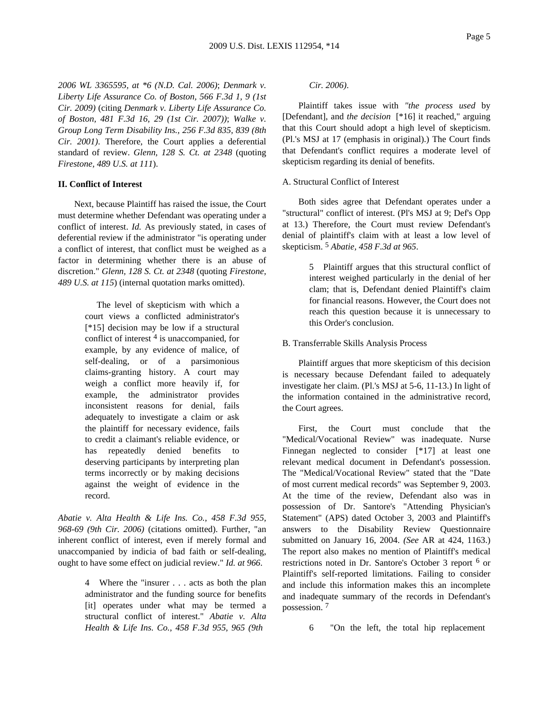*2006 WL 3365595, at \*6 (N.D. Cal. 2006)*; *Denmark v. Liberty Life Assurance Co. of Boston, 566 F.3d 1, 9 (1st Cir. 2009)* (citing *Denmark v. Liberty Life Assurance Co. of Boston, 481 F.3d 16, 29 (1st Cir. 2007))*; *Walke v. Group Long Term Disability Ins., 256 F.3d 835, 839 (8th Cir. 2001)*. Therefore, the Court applies a deferential standard of review. *Glenn, 128 S. Ct. at 2348* (quoting *Firestone, 489 U.S. at 111*).

### **II. Conflict of Interest**

Next, because Plaintiff has raised the issue, the Court must determine whether Defendant was operating under a conflict of interest. *Id.* As previously stated, in cases of deferential review if the administrator "is operating under a conflict of interest, that conflict must be weighed as a factor in determining whether there is an abuse of discretion." *Glenn, 128 S. Ct. at 2348* (quoting *Firestone, 489 U.S. at 115*) (internal quotation marks omitted).

> The level of skepticism with which a court views a conflicted administrator's [\*15] decision may be low if a structural conflict of interest 4 is unaccompanied, for example, by any evidence of malice, of self-dealing, or of a parsimonious claims-granting history. A court may weigh a conflict more heavily if, for example, the administrator provides inconsistent reasons for denial, fails adequately to investigate a claim or ask the plaintiff for necessary evidence, fails to credit a claimant's reliable evidence, or has repeatedly denied benefits to deserving participants by interpreting plan terms incorrectly or by making decisions against the weight of evidence in the record.

*Abatie v. Alta Health & Life Ins. Co., 458 F.3d 955, 968-69 (9th Cir. 2006)* (citations omitted). Further, "an inherent conflict of interest, even if merely formal and unaccompanied by indicia of bad faith or self-dealing, ought to have some effect on judicial review." *Id. at 966*.

> 4 Where the "insurer . . . acts as both the plan administrator and the funding source for benefits [it] operates under what may be termed a structural conflict of interest." *Abatie v. Alta Health & Life Ins. Co., 458 F.3d 955, 965 (9th*

*Cir. 2006)*.

Plaintiff takes issue with *"the process used* by [Defendant], and *the decision* [\*16] it reached," arguing that this Court should adopt a high level of skepticism. (Pl.'s MSJ at 17 (emphasis in original).) The Court finds that Defendant's conflict requires a moderate level of skepticism regarding its denial of benefits.

#### A. Structural Conflict of Interest

Both sides agree that Defendant operates under a "structural" conflict of interest. (Pl's MSJ at 9; Def's Opp at 13.) Therefore, the Court must review Defendant's denial of plaintiff's claim with at least a low level of skepticism. 5 *Abatie, 458 F.3d at 965*.

> 5 Plaintiff argues that this structural conflict of interest weighed particularly in the denial of her clam; that is, Defendant denied Plaintiff's claim for financial reasons. However, the Court does not reach this question because it is unnecessary to this Order's conclusion.

### B. Transferrable Skills Analysis Process

Plaintiff argues that more skepticism of this decision is necessary because Defendant failed to adequately investigate her claim. (Pl.'s MSJ at 5-6, 11-13.) In light of the information contained in the administrative record, the Court agrees.

First, the Court must conclude that the "Medical/Vocational Review" was inadequate. Nurse Finnegan neglected to consider [\*17] at least one relevant medical document in Defendant's possession. The "Medical/Vocational Review" stated that the "Date of most current medical records" was September 9, 2003. At the time of the review, Defendant also was in possession of Dr. Santore's "Attending Physician's Statement" (APS) dated October 3, 2003 and Plaintiff's answers to the Disability Review Questionnaire submitted on January 16, 2004. *(See* AR at 424, 1163.) The report also makes no mention of Plaintiff's medical restrictions noted in Dr. Santore's October 3 report 6 or Plaintiff's self-reported limitations. Failing to consider and include this information makes this an incomplete and inadequate summary of the records in Defendant's possession. 7

6 "On the left, the total hip replacement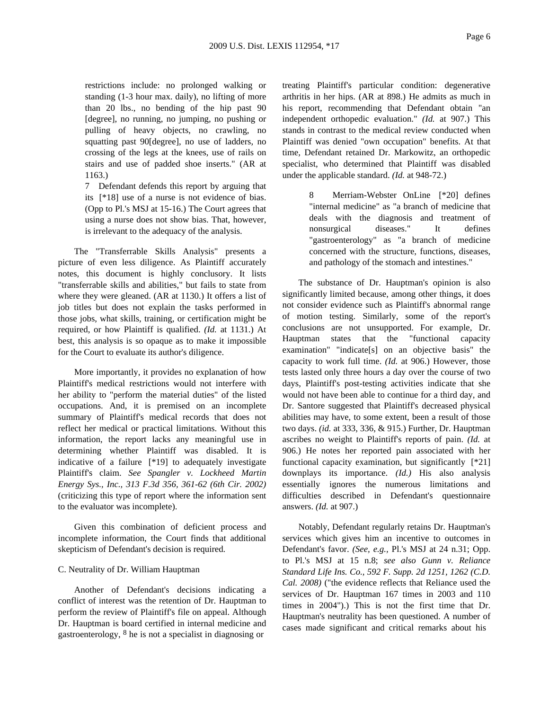restrictions include: no prolonged walking or standing (1-3 hour max. daily), no lifting of more than 20 lbs., no bending of the hip past 90 [degree], no running, no jumping, no pushing or pulling of heavy objects, no crawling, no squatting past 90[degree], no use of ladders, no crossing of the legs at the knees, use of rails on stairs and use of padded shoe inserts." (AR at 1163.)

7 Defendant defends this report by arguing that its [\*18] use of a nurse is not evidence of bias. (Opp to Pl.'s MSJ at 15-16.) The Court agrees that using a nurse does not show bias. That, however, is irrelevant to the adequacy of the analysis.

The "Transferrable Skills Analysis" presents a picture of even less diligence. As Plaintiff accurately notes, this document is highly conclusory. It lists "transferrable skills and abilities," but fails to state from where they were gleaned. (AR at 1130.) It offers a list of job titles but does not explain the tasks performed in those jobs, what skills, training, or certification might be required, or how Plaintiff is qualified. *(Id.* at 1131.) At best, this analysis is so opaque as to make it impossible for the Court to evaluate its author's diligence.

More importantly, it provides no explanation of how Plaintiff's medical restrictions would not interfere with her ability to "perform the material duties" of the listed occupations. And, it is premised on an incomplete summary of Plaintiff's medical records that does not reflect her medical or practical limitations. Without this information, the report lacks any meaningful use in determining whether Plaintiff was disabled. It is indicative of a failure [\*19] to adequately investigate Plaintiff's claim. *See Spangler v. Lockheed Martin Energy Sys., Inc., 313 F.3d 356, 361-62 (6th Cir. 2002)* (criticizing this type of report where the information sent to the evaluator was incomplete).

Given this combination of deficient process and incomplete information, the Court finds that additional skepticism of Defendant's decision is required.

#### C. Neutrality of Dr. William Hauptman

Another of Defendant's decisions indicating a conflict of interest was the retention of Dr. Hauptman to perform the review of Plaintiff's file on appeal. Although Dr. Hauptman is board certified in internal medicine and gastroenterology, 8 he is not a specialist in diagnosing or

treating Plaintiff's particular condition: degenerative arthritis in her hips. (AR at 898.) He admits as much in his report, recommending that Defendant obtain "an independent orthopedic evaluation." *(Id.* at 907.) This stands in contrast to the medical review conducted when Plaintiff was denied "own occupation" benefits. At that time, Defendant retained Dr. Markowitz, an orthopedic specialist, who determined that Plaintiff was disabled under the applicable standard. *(Id.* at 948-72.)

> 8 Merriam-Webster OnLine [\*20] defines "internal medicine" as "a branch of medicine that deals with the diagnosis and treatment of nonsurgical diseases." It defines "gastroenterology" as "a branch of medicine concerned with the structure, functions, diseases, and pathology of the stomach and intestines."

The substance of Dr. Hauptman's opinion is also significantly limited because, among other things, it does not consider evidence such as Plaintiff's abnormal range of motion testing. Similarly, some of the report's conclusions are not unsupported. For example, Dr. Hauptman states that the "functional capacity examination" "indicate[s] on an objective basis" the capacity to work full time. *(Id.* at 906.) However, those tests lasted only three hours a day over the course of two days, Plaintiff's post-testing activities indicate that she would not have been able to continue for a third day, and Dr. Santore suggested that Plaintiff's decreased physical abilities may have, to some extent, been a result of those two days. *(id.* at 333, 336, & 915.) Further, Dr. Hauptman ascribes no weight to Plaintiff's reports of pain. *(Id.* at 906.) He notes her reported pain associated with her functional capacity examination, but significantly [\*21] downplays its importance. *(Id.)* His also analysis essentially ignores the numerous limitations and difficulties described in Defendant's questionnaire answers. *(Id.* at 907.)

Notably, Defendant regularly retains Dr. Hauptman's services which gives him an incentive to outcomes in Defendant's favor. *(See, e.g.,* Pl.'s MSJ at 24 n.31; Opp. to Pl.'s MSJ at 15 n.8; *see also Gunn v. Reliance Standard Life Ins. Co., 592 F. Supp. 2d 1251, 1262 (C.D. Cal. 2008)* ("the evidence reflects that Reliance used the services of Dr. Hauptman 167 times in 2003 and 110 times in 2004").) This is not the first time that Dr. Hauptman's neutrality has been questioned. A number of cases made significant and critical remarks about his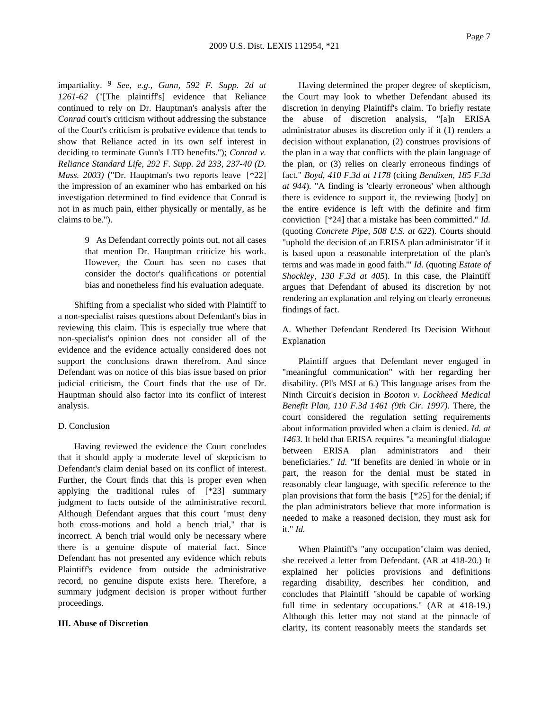impartiality. 9 *See, e.g., Gunn, 592 F. Supp. 2d at 1261-62* ("[The plaintiff's] evidence that Reliance continued to rely on Dr. Hauptman's analysis after the *Conrad* court's criticism without addressing the substance of the Court's criticism is probative evidence that tends to show that Reliance acted in its own self interest in deciding to terminate Gunn's LTD benefits."); *Conrad v. Reliance Standard Life, 292 F. Supp. 2d 233, 237-40 (D. Mass. 2003)* ("Dr. Hauptman's two reports leave [\*22] the impression of an examiner who has embarked on his investigation determined to find evidence that Conrad is not in as much pain, either physically or mentally, as he claims to be.").

> 9 As Defendant correctly points out, not all cases that mention Dr. Hauptman criticize his work. However, the Court has seen no cases that consider the doctor's qualifications or potential bias and nonetheless find his evaluation adequate.

Shifting from a specialist who sided with Plaintiff to a non-specialist raises questions about Defendant's bias in reviewing this claim. This is especially true where that non-specialist's opinion does not consider all of the evidence and the evidence actually considered does not support the conclusions drawn therefrom. And since Defendant was on notice of this bias issue based on prior judicial criticism, the Court finds that the use of Dr. Hauptman should also factor into its conflict of interest analysis.

### D. Conclusion

Having reviewed the evidence the Court concludes that it should apply a moderate level of skepticism to Defendant's claim denial based on its conflict of interest. Further, the Court finds that this is proper even when applying the traditional rules of [\*23] summary judgment to facts outside of the administrative record. Although Defendant argues that this court "must deny both cross-motions and hold a bench trial," that is incorrect. A bench trial would only be necessary where there is a genuine dispute of material fact. Since Defendant has not presented any evidence which rebuts Plaintiff's evidence from outside the administrative record, no genuine dispute exists here. Therefore, a summary judgment decision is proper without further proceedings.

### **III. Abuse of Discretion**

Having determined the proper degree of skepticism, the Court may look to whether Defendant abused its discretion in denying Plaintiff's claim. To briefly restate the abuse of discretion analysis, "[a]n ERISA administrator abuses its discretion only if it (1) renders a decision without explanation, (2) construes provisions of the plan in a way that conflicts with the plain language of the plan, or (3) relies on clearly erroneous findings of fact." *Boyd, 410 F.3d at 1178* (citing *Bendixen, 185 F.3d at 944*). "A finding is 'clearly erroneous' when although there is evidence to support it, the reviewing [body] on the entire evidence is left with the definite and firm conviction [\*24] that a mistake has been committed." *Id.* (quoting *Concrete Pipe, 508 U.S. at 622*). Courts should "uphold the decision of an ERISA plan administrator 'if it is based upon a reasonable interpretation of the plan's terms and was made in good faith.'" *Id.* (quoting *Estate of Shockley, 130 F.3d at 405*). In this case, the Plaintiff argues that Defendant of abused its discretion by not rendering an explanation and relying on clearly erroneous findings of fact.

A. Whether Defendant Rendered Its Decision Without Explanation

Plaintiff argues that Defendant never engaged in "meaningful communication" with her regarding her disability. (Pl's MSJ at 6.) This language arises from the Ninth Circuit's decision in *Booton v. Lockheed Medical Benefit Plan, 110 F.3d 1461 (9th Cir. 1997)*. There, the court considered the regulation setting requirements about information provided when a claim is denied. *Id. at 1463*. It held that ERISA requires "a meaningful dialogue between ERISA plan administrators and their beneficiaries." *Id.* "If benefits are denied in whole or in part, the reason for the denial must be stated in reasonably clear language, with specific reference to the plan provisions that form the basis [\*25] for the denial; if the plan administrators believe that more information is needed to make a reasoned decision, they must ask for it." *Id.*

When Plaintiff's "any occupation"claim was denied, she received a letter from Defendant. (AR at 418-20.) It explained her policies provisions and definitions regarding disability, describes her condition, and concludes that Plaintiff "should be capable of working full time in sedentary occupations." (AR at 418-19.) Although this letter may not stand at the pinnacle of clarity, its content reasonably meets the standards set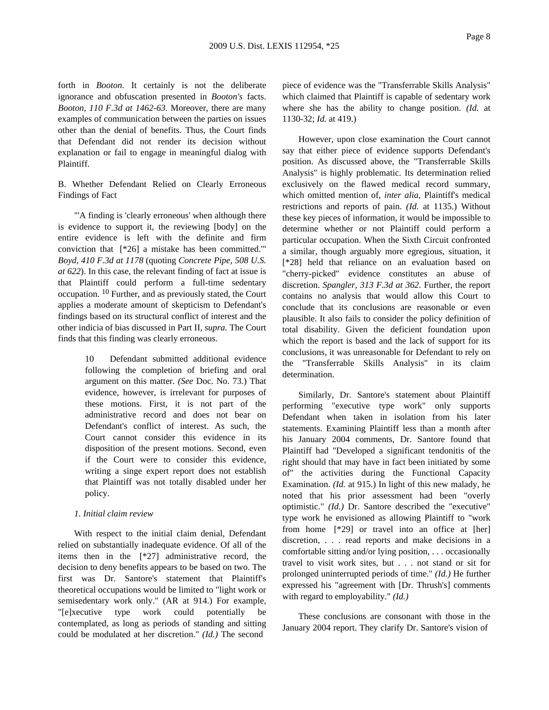forth in *Booton.* It certainly is not the deliberate ignorance and obfuscation presented in *Booton's* facts. *Booton, 110 F.3d at 1462-63*. Moreover, there are many examples of communication between the parties on issues other than the denial of benefits. Thus, the Court finds that Defendant did not render its decision without explanation or fail to engage in meaningful dialog with Plaintiff.

B. Whether Defendant Relied on Clearly Erroneous Findings of Fact

"'A finding is 'clearly erroneous' when although there is evidence to support it, the reviewing [body] on the entire evidence is left with the definite and firm conviction that [\*26] a mistake has been committed.'" *Boyd, 410 F.3d at 1178* (quoting *Concrete Pipe, 508 U.S. at 622*). In this case, the relevant finding of fact at issue is that Plaintiff could perform a full-time sedentary occupation. 10 Further, and as previously stated, the Court applies a moderate amount of skepticism to Defendant's findings based on its structural conflict of interest and the other indicia of bias discussed in Part II, *supra.* The Court finds that this finding was clearly erroneous.

> 10 Defendant submitted additional evidence following the completion of briefing and oral argument on this matter. *(See* Doc. No. 73.) That evidence, however, is irrelevant for purposes of these motions. First, it is not part of the administrative record and does not bear on Defendant's conflict of interest. As such, the Court cannot consider this evidence in its disposition of the present motions. Second, even if the Court were to consider this evidence, writing a singe expert report does not establish that Plaintiff was not totally disabled under her policy.

### *1. Initial claim review*

With respect to the initial claim denial, Defendant relied on substantially inadequate evidence. Of all of the items then in the [\*27] administrative record, the decision to deny benefits appears to be based on two. The first was Dr. Santore's statement that Plaintiff's theoretical occupations would be limited to "light work or semisedentary work only." (AR at 914.) For example, "[e]xecutive type work could potentially be contemplated, as long as periods of standing and sitting could be modulated at her discretion." *(Id.)* The second

piece of evidence was the "Transferrable Skills Analysis" which claimed that Plaintiff is capable of sedentary work where she has the ability to change position. *(Id.* at 1130-32; *Id.* at 419.)

However, upon close examination the Court cannot say that either piece of evidence supports Defendant's position. As discussed above, the "Transferrable Skills Analysis" is highly problematic. Its determination relied exclusively on the flawed medical record summary, which omitted mention of, *inter alia,* Plaintiff's medical restrictions and reports of pain. *(Id.* at 1135.) Without these key pieces of information, it would be impossible to determine whether or not Plaintiff could perform a particular occupation. When the Sixth Circuit confronted a similar, though arguably more egregious, situation, it [\*28] held that reliance on an evaluation based on "cherry-picked" evidence constitutes an abuse of discretion. *Spangler, 313 F.3d at 362*. Further, the report contains no analysis that would allow this Court to conclude that its conclusions are reasonable or even plausible. It also fails to consider the policy definition of total disability. Given the deficient foundation upon which the report is based and the lack of support for its conclusions, it was unreasonable for Defendant to rely on the "Transferrable Skills Analysis" in its claim determination.

Similarly, Dr. Santore's statement about Plaintiff performing "executive type work" only supports Defendant when taken in isolation from his later statements. Examining Plaintiff less than a month after his January 2004 comments, Dr. Santore found that Plaintiff had "Developed a significant tendonitis of the right should that may have in fact been initiated by some of" the activities during the Functional Capacity Examination. *(Id.* at 915.) In light of this new malady, he noted that his prior assessment had been "overly optimistic." *(Id.)* Dr. Santore described the "executive" type work he envisioned as allowing Plaintiff to "work from home [\*29] or travel into an office at [her] discretion, . . . read reports and make decisions in a comfortable sitting and/or lying position, . . . occasionally travel to visit work sites, but . . . not stand or sit for prolonged uninterrupted periods of time." *(Id.)* He further expressed his "agreement with [Dr. Thrush's] comments with regard to employability." *(Id.)*

These conclusions are consonant with those in the January 2004 report. They clarify Dr. Santore's vision of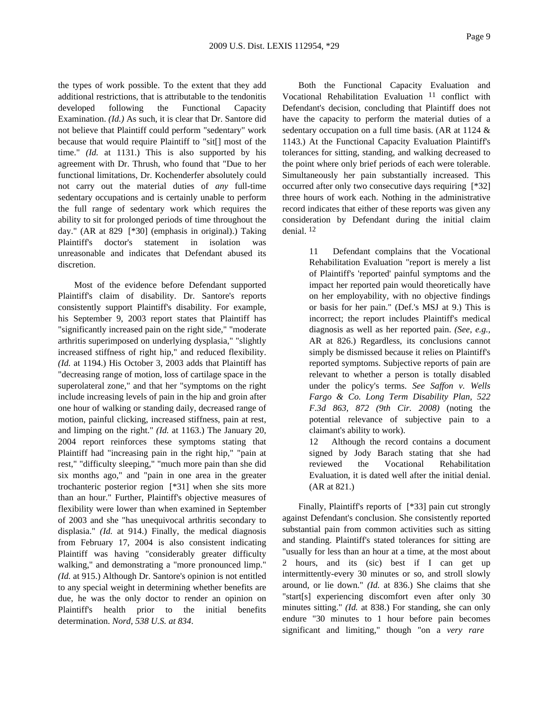the types of work possible. To the extent that they add additional restrictions, that is attributable to the tendonitis developed following the Functional Capacity Examination. *(Id.)* As such, it is clear that Dr. Santore did not believe that Plaintiff could perform "sedentary" work because that would require Plaintiff to "sit[] most of the time." *(Id.* at 1131.) This is also supported by his agreement with Dr. Thrush, who found that "Due to her functional limitations, Dr. Kochenderfer absolutely could not carry out the material duties of *any* full-time sedentary occupations and is certainly unable to perform the full range of sedentary work which requires the ability to sit for prolonged periods of time throughout the day." (AR at 829 [\*30] (emphasis in original).) Taking Plaintiff's doctor's statement in isolation was unreasonable and indicates that Defendant abused its discretion.

Most of the evidence before Defendant supported Plaintiff's claim of disability. Dr. Santore's reports consistently support Plaintiff's disability. For example, his September 9, 2003 report states that Plaintiff has "significantly increased pain on the right side," "moderate arthritis superimposed on underlying dysplasia," "slightly increased stiffness of right hip," and reduced flexibility. *(Id.* at 1194.) His October 3, 2003 adds that Plaintiff has "decreasing range of motion, loss of cartilage space in the superolateral zone," and that her "symptoms on the right include increasing levels of pain in the hip and groin after one hour of walking or standing daily, decreased range of motion, painful clicking, increased stiffness, pain at rest, and limping on the right." *(Id.* at 1163.) The January 20, 2004 report reinforces these symptoms stating that Plaintiff had "increasing pain in the right hip," "pain at rest," "difficulty sleeping," "much more pain than she did six months ago," and "pain in one area in the greater trochanteric posterior region [\*31] when she sits more than an hour." Further, Plaintiff's objective measures of flexibility were lower than when examined in September of 2003 and she "has unequivocal arthritis secondary to displasia." *(Id.* at 914.) Finally, the medical diagnosis from February 17, 2004 is also consistent indicating Plaintiff was having "considerably greater difficulty walking," and demonstrating a "more pronounced limp." *(Id.* at 915.) Although Dr. Santore's opinion is not entitled to any special weight in determining whether benefits are due, he was the only doctor to render an opinion on Plaintiff's health prior to the initial benefits determination. *Nord, 538 U.S. at 834*.

Both the Functional Capacity Evaluation and Vocational Rehabilitation Evaluation 11 conflict with Defendant's decision, concluding that Plaintiff does not have the capacity to perform the material duties of a sedentary occupation on a full time basis. (AR at 1124 & 1143.) At the Functional Capacity Evaluation Plaintiff's tolerances for sitting, standing, and walking decreased to the point where only brief periods of each were tolerable. Simultaneously her pain substantially increased. This occurred after only two consecutive days requiring [\*32] three hours of work each. Nothing in the administrative record indicates that either of these reports was given any consideration by Defendant during the initial claim denial. 12

> 11 Defendant complains that the Vocational Rehabilitation Evaluation "report is merely a list of Plaintiff's 'reported' painful symptoms and the impact her reported pain would theoretically have on her employability, with no objective findings or basis for her pain." (Def.'s MSJ at 9.) This is incorrect; the report includes Plaintiff's medical diagnosis as well as her reported pain. *(See, e.g.,* AR at 826.) Regardless, its conclusions cannot simply be dismissed because it relies on Plaintiff's reported symptoms. Subjective reports of pain are relevant to whether a person is totally disabled under the policy's terms. *See Saffon v. Wells Fargo & Co. Long Term Disability Plan, 522 F.3d 863, 872 (9th Cir. 2008)* (noting the potential relevance of subjective pain to a claimant's ability to work).

> 12 Although the record contains a document signed by Jody Barach stating that she had reviewed the Vocational Rehabilitation Evaluation, it is dated well after the initial denial. (AR at 821.)

Finally, Plaintiff's reports of [\*33] pain cut strongly against Defendant's conclusion. She consistently reported substantial pain from common activities such as sitting and standing. Plaintiff's stated tolerances for sitting are "usually for less than an hour at a time, at the most about 2 hours, and its (sic) best if I can get up intermittently-every 30 minutes or so, and stroll slowly around, or lie down." *(Id.* at 836.) She claims that she "start[s] experiencing discomfort even after only 30 minutes sitting." *(Id.* at 838.) For standing, she can only endure "30 minutes to 1 hour before pain becomes significant and limiting," though "on a *very rare*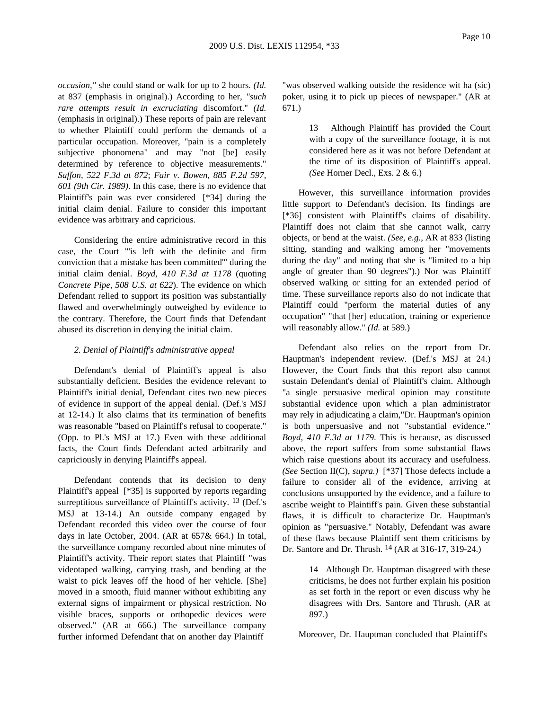*occasion,"* she could stand or walk for up to 2 hours. *(Id.* at 837 (emphasis in original).) According to her, *"such rare attempts result in excruciating* discomfort." *(Id.* (emphasis in original).) These reports of pain are relevant to whether Plaintiff could perform the demands of a particular occupation. Moreover, "pain is a completely subjective phonomena" and may "not [be] easily determined by reference to objective measurements." *Saffon, 522 F.3d at 872*; *Fair v. Bowen, 885 F.2d 597, 601 (9th Cir. 1989)*. In this case, there is no evidence that Plaintiff's pain was ever considered [\*34] during the initial claim denial. Failure to consider this important evidence was arbitrary and capricious.

Considering the entire administrative record in this case, the Court "'is left with the definite and firm conviction that a mistake has been committed'" during the initial claim denial. *Boyd, 410 F.3d at 1178* (quoting *Concrete Pipe, 508 U.S. at 622*). The evidence on which Defendant relied to support its position was substantially flawed and overwhelmingly outweighed by evidence to the contrary. Therefore, the Court finds that Defendant abused its discretion in denying the initial claim.

### *2. Denial of Plaintiff's administrative appeal*

Defendant's denial of Plaintiff's appeal is also substantially deficient. Besides the evidence relevant to Plaintiff's initial denial, Defendant cites two new pieces of evidence in support of the appeal denial. (Def.'s MSJ at 12-14.) It also claims that its termination of benefits was reasonable "based on Plaintiff's refusal to cooperate." (Opp. to Pl.'s MSJ at 17.) Even with these additional facts, the Court finds Defendant acted arbitrarily and capriciously in denying Plaintiff's appeal.

Defendant contends that its decision to deny Plaintiff's appeal [\*35] is supported by reports regarding surreptitious surveillance of Plaintiff's activity. <sup>13</sup> (Def.'s MSJ at 13-14.) An outside company engaged by Defendant recorded this video over the course of four days in late October, 2004. (AR at 657& 664.) In total, the surveillance company recorded about nine minutes of Plaintiff's activity. Their report states that Plaintiff "was videotaped walking, carrying trash, and bending at the waist to pick leaves off the hood of her vehicle. [She] moved in a smooth, fluid manner without exhibiting any external signs of impairment or physical restriction. No visible braces, supports or orthopedic devices were observed." (AR at 666.) The surveillance company further informed Defendant that on another day Plaintiff

"was observed walking outside the residence wit ha (sic) poker, using it to pick up pieces of newspaper." (AR at 671.)

> 13 Although Plaintiff has provided the Court with a copy of the surveillance footage, it is not considered here as it was not before Defendant at the time of its disposition of Plaintiff's appeal. *(See* Horner Decl., Exs. 2 & 6.)

However, this surveillance information provides little support to Defendant's decision. Its findings are [\*36] consistent with Plaintiff's claims of disability. Plaintiff does not claim that she cannot walk, carry objects, or bend at the waist. *(See, e.g.,* AR at 833 (listing sitting, standing and walking among her "movements during the day" and noting that she is "limited to a hip angle of greater than 90 degrees").) Nor was Plaintiff observed walking or sitting for an extended period of time. These surveillance reports also do not indicate that Plaintiff could "perform the material duties of any occupation" "that [her] education, training or experience will reasonably allow." *(Id.* at 589.)

Defendant also relies on the report from Dr. Hauptman's independent review. (Def.'s MSJ at 24.) However, the Court finds that this report also cannot sustain Defendant's denial of Plaintiff's claim. Although "a single persuasive medical opinion may constitute substantial evidence upon which a plan administrator may rely in adjudicating a claim,"Dr. Hauptman's opinion is both unpersuasive and not "substantial evidence." *Boyd, 410 F.3d at 1179*. This is because, as discussed above, the report suffers from some substantial flaws which raise questions about its accuracy and usefulness. *(See* Section II(C), *supra.)* [\*37] Those defects include a failure to consider all of the evidence, arriving at conclusions unsupported by the evidence, and a failure to ascribe weight to Plaintiff's pain. Given these substantial flaws, it is difficult to characterize Dr. Hauptman's opinion as "persuasive." Notably, Defendant was aware of these flaws because Plaintiff sent them criticisms by Dr. Santore and Dr. Thrush. 14 (AR at 316-17, 319-24.)

> 14 Although Dr. Hauptman disagreed with these criticisms, he does not further explain his position as set forth in the report or even discuss why he disagrees with Drs. Santore and Thrush. (AR at 897.)

Moreover, Dr. Hauptman concluded that Plaintiff's